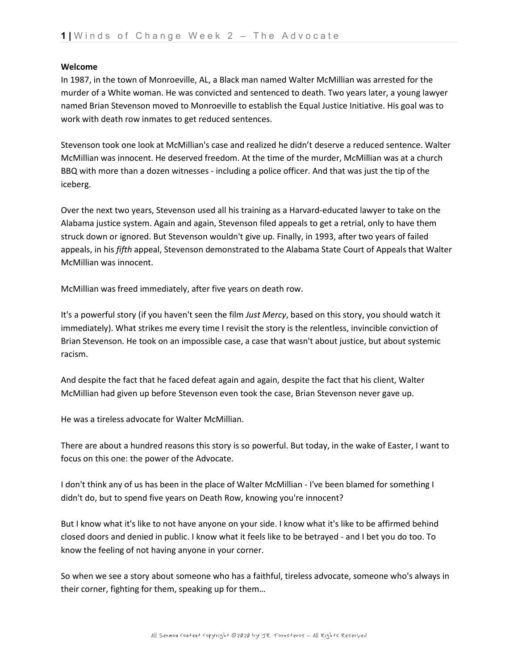## **Welcome**

In 1987, in the town of Monroeville, AL, a Black man named Walter McMillian was arrested for the murder of a White woman. He was convicted and sentenced to death. Two years later, a young lawyer named Brian Stevenson moved to Monroeville to establish the Equal Justice Initiative. His goal was to work with death row inmates to get reduced sentences.

Stevenson took one look at McMillian's case and realized he didn't deserve a reduced sentence. Walter McMillian was innocent. He deserved freedom. At the time of the murder, McMillian was at a church BBQ with more than a dozen witnesses - including a police officer. And that was just the tip of the iceberg.

Over the next two years, Stevenson used all his training as a Harvard-educated lawyer to take on the Alabama justice system. Again and again, Stevenson filed appeals to get a retrial, only to have them struck down or ignored. But Stevenson wouldn't give up. Finally, in 1993, after two years of failed appeals, in his *fifth* appeal, Stevenson demonstrated to the Alabama State Court of Appeals that Walter McMillian was innocent.

McMillian was freed immediately, after five years on death row.

It's a powerful story (if you haven't seen the film *Just Mercy*, based on this story, you should watch it immediately). What strikes me every time I revisit the story is the relentless, invincible conviction of Brian Stevenson. He took on an impossible case, a case that wasn't about justice, but about systemic racism.

And despite the fact that he faced defeat again and again, despite the fact that his client, Walter McMillian had given up before Stevenson even took the case, Brian Stevenson never gave up.

He was a tireless advocate for Walter McMillian.

There are about a hundred reasons this story is so powerful. But today, in the wake of Easter, I want to focus on this one: the power of the Advocate.

I don't think any of us has been in the place of Walter McMillian - I've been blamed for something I didn't do, but to spend five years on Death Row, knowing you're innocent?

But I know what it's like to not have anyone on your side. I know what it's like to be affirmed behind closed doors and denied in public. I know what it feels like to be betrayed - and I bet you do too. To know the feeling of not having anyone in your corner.

So when we see a story about someone who has a faithful, tireless advocate, someone who's always in their corner, fighting for them, speaking up for them…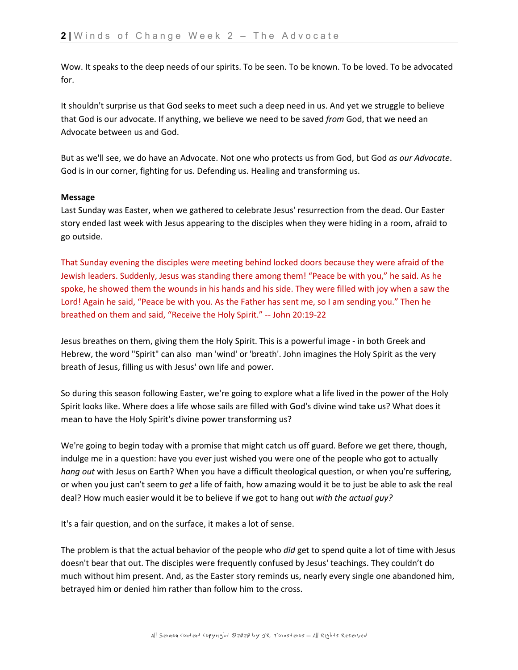Wow. It speaks to the deep needs of our spirits. To be seen. To be known. To be loved. To be advocated for.

It shouldn't surprise us that God seeks to meet such a deep need in us. And yet we struggle to believe that God is our advocate. If anything, we believe we need to be saved *from* God, that we need an Advocate between us and God.

But as we'll see, we do have an Advocate. Not one who protects us from God, but God *as our Advocate*. God is in our corner, fighting for us. Defending us. Healing and transforming us.

## **Message**

Last Sunday was Easter, when we gathered to celebrate Jesus' resurrection from the dead. Our Easter story ended last week with Jesus appearing to the disciples when they were hiding in a room, afraid to go outside.

That Sunday evening the disciples were meeting behind locked doors because they were afraid of the Jewish leaders. Suddenly, Jesus was standing there among them! "Peace be with you," he said. As he spoke, he showed them the wounds in his hands and his side. They were filled with joy when a saw the Lord! Again he said, "Peace be with you. As the Father has sent me, so I am sending you." Then he breathed on them and said, "Receive the Holy Spirit." -- John 20:19-22

Jesus breathes on them, giving them the Holy Spirit. This is a powerful image - in both Greek and Hebrew, the word "Spirit" can also man 'wind' or 'breath'. John imagines the Holy Spirit as the very breath of Jesus, filling us with Jesus' own life and power.

So during this season following Easter, we're going to explore what a life lived in the power of the Holy Spirit looks like. Where does a life whose sails are filled with God's divine wind take us? What does it mean to have the Holy Spirit's divine power transforming us?

We're going to begin today with a promise that might catch us off guard. Before we get there, though, indulge me in a question: have you ever just wished you were one of the people who got to actually *hang out* with Jesus on Earth? When you have a difficult theological question, or when you're suffering, or when you just can't seem to *get* a life of faith, how amazing would it be to just be able to ask the real deal? How much easier would it be to believe if we got to hang out *with the actual guy?*

It's a fair question, and on the surface, it makes a lot of sense.

The problem is that the actual behavior of the people who *did* get to spend quite a lot of time with Jesus doesn't bear that out. The disciples were frequently confused by Jesus' teachings. They couldn't do much without him present. And, as the Easter story reminds us, nearly every single one abandoned him, betrayed him or denied him rather than follow him to the cross.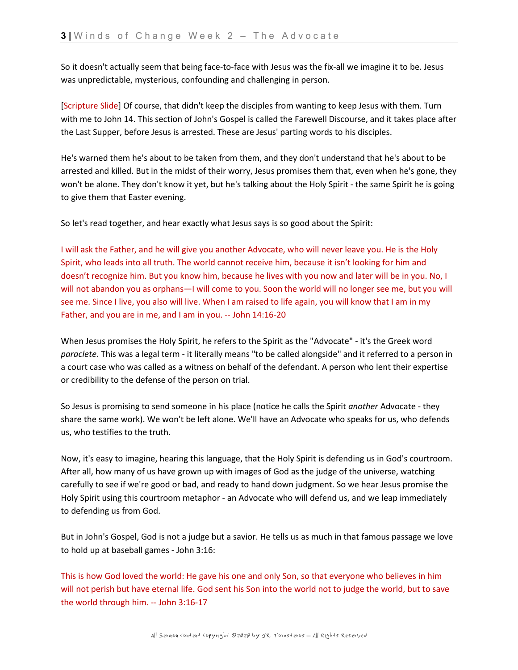So it doesn't actually seem that being face-to-face with Jesus was the fix-all we imagine it to be. Jesus was unpredictable, mysterious, confounding and challenging in person.

[Scripture Slide] Of course, that didn't keep the disciples from wanting to keep Jesus with them. Turn with me to John 14. This section of John's Gospel is called the Farewell Discourse, and it takes place after the Last Supper, before Jesus is arrested. These are Jesus' parting words to his disciples.

He's warned them he's about to be taken from them, and they don't understand that he's about to be arrested and killed. But in the midst of their worry, Jesus promises them that, even when he's gone, they won't be alone. They don't know it yet, but he's talking about the Holy Spirit - the same Spirit he is going to give them that Easter evening.

So let's read together, and hear exactly what Jesus says is so good about the Spirit:

I will ask the Father, and he will give you another Advocate, who will never leave you. He is the Holy Spirit, who leads into all truth. The world cannot receive him, because it isn't looking for him and doesn't recognize him. But you know him, because he lives with you now and later will be in you. No, I will not abandon you as orphans—I will come to you. Soon the world will no longer see me, but you will see me. Since I live, you also will live. When I am raised to life again, you will know that I am in my Father, and you are in me, and I am in you. -- John 14:16-20

When Jesus promises the Holy Spirit, he refers to the Spirit as the "Advocate" - it's the Greek word *paraclete*. This was a legal term - it literally means "to be called alongside" and it referred to a person in a court case who was called as a witness on behalf of the defendant. A person who lent their expertise or credibility to the defense of the person on trial.

So Jesus is promising to send someone in his place (notice he calls the Spirit *another* Advocate - they share the same work). We won't be left alone. We'll have an Advocate who speaks for us, who defends us, who testifies to the truth.

Now, it's easy to imagine, hearing this language, that the Holy Spirit is defending us in God's courtroom. After all, how many of us have grown up with images of God as the judge of the universe, watching carefully to see if we're good or bad, and ready to hand down judgment. So we hear Jesus promise the Holy Spirit using this courtroom metaphor - an Advocate who will defend us, and we leap immediately to defending us from God.

But in John's Gospel, God is not a judge but a savior. He tells us as much in that famous passage we love to hold up at baseball games - John 3:16:

This is how God loved the world: He gave his one and only Son, so that everyone who believes in him will not perish but have eternal life. God sent his Son into the world not to judge the world, but to save the world through him. -- John 3:16-17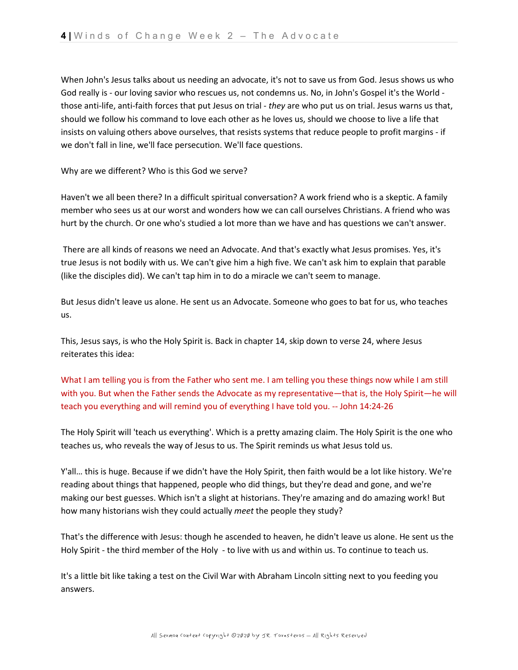When John's Jesus talks about us needing an advocate, it's not to save us from God. Jesus shows us who God really is - our loving savior who rescues us, not condemns us. No, in John's Gospel it's the World those anti-life, anti-faith forces that put Jesus on trial - *they* are who put us on trial. Jesus warns us that, should we follow his command to love each other as he loves us, should we choose to live a life that insists on valuing others above ourselves, that resists systems that reduce people to profit margins - if we don't fall in line, we'll face persecution. We'll face questions.

Why are we different? Who is this God we serve?

Haven't we all been there? In a difficult spiritual conversation? A work friend who is a skeptic. A family member who sees us at our worst and wonders how we can call ourselves Christians. A friend who was hurt by the church. Or one who's studied a lot more than we have and has questions we can't answer.

There are all kinds of reasons we need an Advocate. And that's exactly what Jesus promises. Yes, it's true Jesus is not bodily with us. We can't give him a high five. We can't ask him to explain that parable (like the disciples did). We can't tap him in to do a miracle we can't seem to manage.

But Jesus didn't leave us alone. He sent us an Advocate. Someone who goes to bat for us, who teaches us.

This, Jesus says, is who the Holy Spirit is. Back in chapter 14, skip down to verse 24, where Jesus reiterates this idea:

What I am telling you is from the Father who sent me. I am telling you these things now while I am still with you. But when the Father sends the Advocate as my representative—that is, the Holy Spirit—he will teach you everything and will remind you of everything I have told you. -- John 14:24-26

The Holy Spirit will 'teach us everything'. Which is a pretty amazing claim. The Holy Spirit is the one who teaches us, who reveals the way of Jesus to us. The Spirit reminds us what Jesus told us.

Y'all… this is huge. Because if we didn't have the Holy Spirit, then faith would be a lot like history. We're reading about things that happened, people who did things, but they're dead and gone, and we're making our best guesses. Which isn't a slight at historians. They're amazing and do amazing work! But how many historians wish they could actually *meet* the people they study?

That's the difference with Jesus: though he ascended to heaven, he didn't leave us alone. He sent us the Holy Spirit - the third member of the Holy - to live with us and within us. To continue to teach us.

It's a little bit like taking a test on the Civil War with Abraham Lincoln sitting next to you feeding you answers.